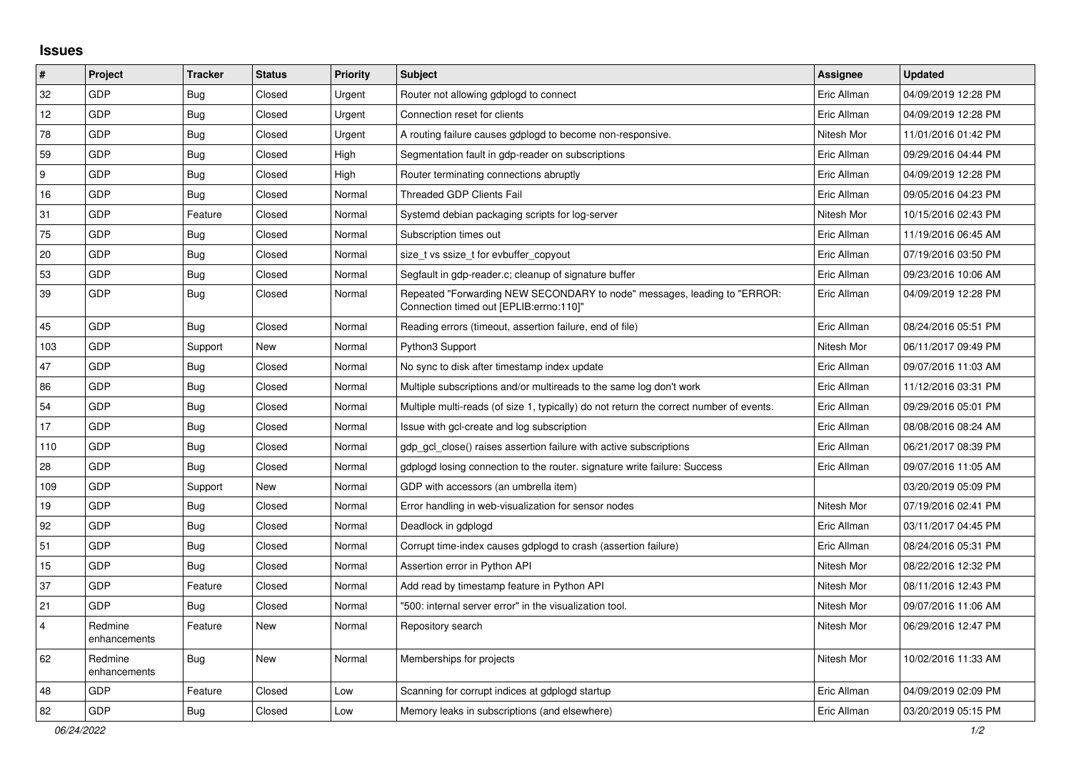## **Issues**

| $\vert$ #      | Project                 | <b>Tracker</b> | <b>Status</b> | Priority | Subject                                                                                                             | <b>Assignee</b> | <b>Updated</b>      |
|----------------|-------------------------|----------------|---------------|----------|---------------------------------------------------------------------------------------------------------------------|-----------------|---------------------|
| 32             | GDP                     | Bug            | Closed        | Urgent   | Router not allowing gdplogd to connect                                                                              | Eric Allman     | 04/09/2019 12:28 PM |
| 12             | GDP                     | <b>Bug</b>     | Closed        | Urgent   | Connection reset for clients                                                                                        | Eric Allman     | 04/09/2019 12:28 PM |
| 78             | GDP                     | Bug            | Closed        | Urgent   | A routing failure causes gdplogd to become non-responsive.                                                          | Nitesh Mor      | 11/01/2016 01:42 PM |
| 59             | GDP                     | <b>Bug</b>     | Closed        | High     | Segmentation fault in gdp-reader on subscriptions                                                                   | Eric Allman     | 09/29/2016 04:44 PM |
| 9              | GDP                     | Bug            | Closed        | High     | Router terminating connections abruptly                                                                             | Eric Allman     | 04/09/2019 12:28 PM |
| 16             | GDP                     | <b>Bug</b>     | Closed        | Normal   | <b>Threaded GDP Clients Fail</b>                                                                                    | Eric Allman     | 09/05/2016 04:23 PM |
| 31             | GDP                     | Feature        | Closed        | Normal   | Systemd debian packaging scripts for log-server                                                                     | Nitesh Mor      | 10/15/2016 02:43 PM |
| 75             | GDP                     | <b>Bug</b>     | Closed        | Normal   | Subscription times out                                                                                              | Eric Allman     | 11/19/2016 06:45 AM |
| 20             | GDP                     | <b>Bug</b>     | Closed        | Normal   | size t vs ssize t for evbuffer copyout                                                                              | Eric Allman     | 07/19/2016 03:50 PM |
| 53             | GDP                     | <b>Bug</b>     | Closed        | Normal   | Segfault in gdp-reader.c; cleanup of signature buffer                                                               | Eric Allman     | 09/23/2016 10:06 AM |
| 39             | GDP                     | Bug            | Closed        | Normal   | Repeated "Forwarding NEW SECONDARY to node" messages, leading to "ERROR:<br>Connection timed out [EPLIB:errno:110]" | Eric Allman     | 04/09/2019 12:28 PM |
| 45             | GDP                     | Bug            | Closed        | Normal   | Reading errors (timeout, assertion failure, end of file)                                                            | Eric Allman     | 08/24/2016 05:51 PM |
| 103            | <b>GDP</b>              | Support        | New           | Normal   | Python3 Support                                                                                                     | Nitesh Mor      | 06/11/2017 09:49 PM |
| 47             | GDP                     | Bug            | Closed        | Normal   | No sync to disk after timestamp index update                                                                        | Eric Allman     | 09/07/2016 11:03 AM |
| 86             | GDP                     | Bug            | Closed        | Normal   | Multiple subscriptions and/or multireads to the same log don't work                                                 | Eric Allman     | 11/12/2016 03:31 PM |
| 54             | GDP                     | Bug            | Closed        | Normal   | Multiple multi-reads (of size 1, typically) do not return the correct number of events.                             | Eric Allman     | 09/29/2016 05:01 PM |
| 17             | GDP                     | <b>Bug</b>     | Closed        | Normal   | Issue with gcl-create and log subscription                                                                          | Eric Allman     | 08/08/2016 08:24 AM |
| 110            | GDP                     | <b>Bug</b>     | Closed        | Normal   | gdp gcl close() raises assertion failure with active subscriptions                                                  | Eric Allman     | 06/21/2017 08:39 PM |
| 28             | GDP                     | Bug            | Closed        | Normal   | gdplogd losing connection to the router, signature write failure: Success                                           | Eric Allman     | 09/07/2016 11:05 AM |
| 109            | GDP                     | Support        | New           | Normal   | GDP with accessors (an umbrella item)                                                                               |                 | 03/20/2019 05:09 PM |
| 19             | GDP                     | <b>Bug</b>     | Closed        | Normal   | Error handling in web-visualization for sensor nodes                                                                | Nitesh Mor      | 07/19/2016 02:41 PM |
| 92             | GDP                     | <b>Bug</b>     | Closed        | Normal   | Deadlock in gdplogd                                                                                                 | Eric Allman     | 03/11/2017 04:45 PM |
| 51             | GDP                     | <b>Bug</b>     | Closed        | Normal   | Corrupt time-index causes gdplogd to crash (assertion failure)                                                      | Eric Allman     | 08/24/2016 05:31 PM |
| 15             | GDP                     | Bug            | Closed        | Normal   | Assertion error in Python API                                                                                       | Nitesh Mor      | 08/22/2016 12:32 PM |
| 37             | GDP                     | Feature        | Closed        | Normal   | Add read by timestamp feature in Python API                                                                         | Nitesh Mor      | 08/11/2016 12:43 PM |
| 21             | GDP                     | Bug            | Closed        | Normal   | "500: internal server error" in the visualization tool.                                                             | Nitesh Mor      | 09/07/2016 11:06 AM |
| $\overline{4}$ | Redmine<br>enhancements | Feature        | New           | Normal   | Repository search                                                                                                   | Nitesh Mor      | 06/29/2016 12:47 PM |
| 62             | Redmine<br>enhancements | <b>Bug</b>     | New           | Normal   | Memberships for projects                                                                                            | Nitesh Mor      | 10/02/2016 11:33 AM |
| 48             | GDP                     | Feature        | Closed        | Low      | Scanning for corrupt indices at gdplogd startup                                                                     | Eric Allman     | 04/09/2019 02:09 PM |
| 82             | GDP                     | Bug            | Closed        | Low      | Memory leaks in subscriptions (and elsewhere)                                                                       | Eric Allman     | 03/20/2019 05:15 PM |